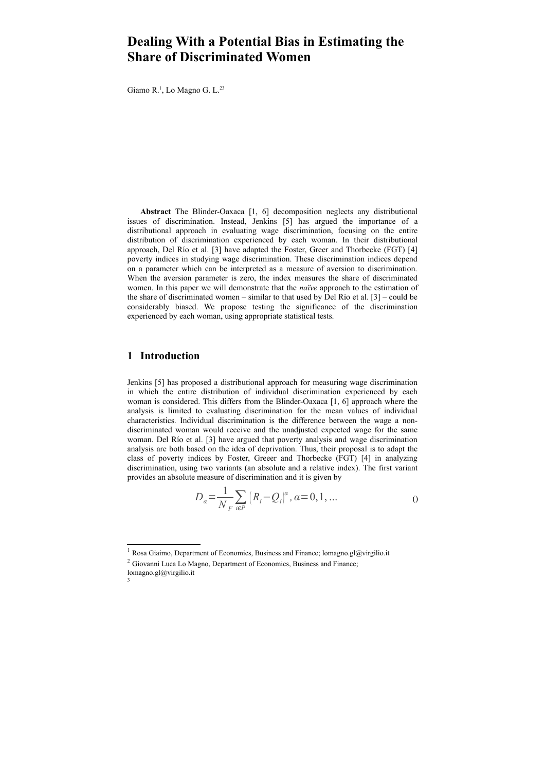# **Dealing With a Potential Bias in Estimating the Share of Discriminated Women**

Giamo R.<sup>[1](#page-0-0)</sup>, Lo Magno G. L.<sup>[2](#page-0-1)[3](#page-0-2)</sup>

**Abstract** The Blinder-Oaxaca [1, 6] decomposition neglects any distributional issues of discrimination. Instead, Jenkins [5] has argued the importance of a distributional approach in evaluating wage discrimination, focusing on the entire distribution of discrimination experienced by each woman. In their distributional approach, Del Río et al. [3] have adapted the Foster, Greer and Thorbecke (FGT) [4] poverty indices in studying wage discrimination. These discrimination indices depend on a parameter which can be interpreted as a measure of aversion to discrimination. When the aversion parameter is zero, the index measures the share of discriminated women. In this paper we will demonstrate that the *naïve* approach to the estimation of the share of discriminated women – similar to that used by  $\widehat{D}$ el Río et al. [3] – could be considerably biased. We propose testing the significance of the discrimination experienced by each woman, using appropriate statistical tests.

# **1 Introduction**

Jenkins [5] has proposed a distributional approach for measuring wage discrimination in which the entire distribution of individual discrimination experienced by each woman is considered. This differs from the Blinder-Oaxaca [1, 6] approach where the analysis is limited to evaluating discrimination for the mean values of individual characteristics. Individual discrimination is the difference between the wage a nondiscriminated woman would receive and the unadjusted expected wage for the same woman. Del Río et al. [3] have argued that poverty analysis and wage discrimination analysis are both based on the idea of deprivation. Thus, their proposal is to adapt the class of poverty indices by Foster, Greeer and Thorbecke (FGT) [4] in analyzing discrimination, using two variants (an absolute and a relative index). The first variant provides an absolute measure of discrimination and it is given by

$$
D_{\alpha} = \frac{1}{N_F} \sum_{i \in P} (R_i - Q_i)^{\alpha}, \alpha = 0, 1, ...
$$

<span id="page-0-1"></span><span id="page-0-0"></span><sup>&</sup>lt;sup>1</sup> Rosa Giaimo, Department of Economics, Business and Finance; lomagno.gl@virgilio.it <sup>2</sup> Giovanni Luca Lo Magno, Department of Economics, Business and Finance;

<span id="page-0-2"></span>lomagno.gl@virgilio.it 3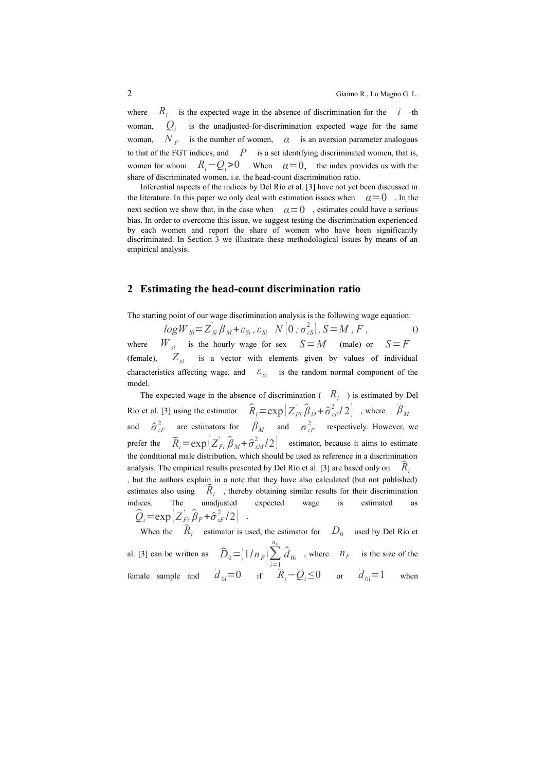$where$  $R_i$  is the expected wage in the absence of discrimination for the *i* -th woman, *Q<sup>i</sup>* is the unadjusted-for-discrimination expected wage for the same  $woman.$  $N_F$  is the number of women,  $\alpha$  is an aversion parameter analogous to that of the FGT indices, and  $P$  is a set identifying discriminated women, that is, women for whom  $R_i$  −  $Q_i$  > 0 . When  $\alpha$  = 0, the index provides us with the share of discriminated women, i.e. the head-count discrimination ratio.

Inferential aspects of the indices by Del Río et al. [3] have not yet been discussed in the literature. In this paper we only deal with estimation issues when  $\alpha = 0$ . In the next section we show that, in the case when  $\alpha=0$ , estimates could have a serious bias. In order to overcome this issue, we suggest testing the discrimination experienced by each women and report the share of women who have been significantly discriminated. In Section 3 we illustrate these methodological issues by means of an empirical analysis.

#### **2 Estimating the head-count discrimination ratio**

The starting point of our wage discrimination analysis is the following wage equation:

 $logW_{Si} = Z_{Si}' \beta_M + \varepsilon_{Si} , \varepsilon_{Si} N(0; \sigma_{cs}^2), S = M, F$ , () where  $W_{si}$  is the hourly wage for sex  $S = M$  (male) or  $S = F$ (female),  $Z_{si}$  is a vector with elements given by values of individual characteristics affecting wage, and  $\varepsilon_{si}$  is the random normal component of the model.

The expected wage in the absence of discrimination  $(R<sub>i</sub>)$  is estimated by Del Río et al. [3] using the estimator  $\hat{R}_i = \exp(Z_{Fi}^i)$  $\left(\frac{\partial u}{\partial M} + \hat{\sigma}_{\varepsilon}^2 / 2\right)$ , where  $\left(\frac{\partial u}{\partial M}\right)$ and  $\hat{\sigma}_{\varepsilon F}^2$  are estimators for  $\beta_M$  and  $\sigma_{\varepsilon F}^2$  respectively. However, we prefer the  $\widetilde{R}_i = \exp\left(Z_{Fi}^{\prime}\right)$  $\left(\widehat{\beta}_M + \widehat{\sigma}_{\epsilon M}^2/2\right)$  estimator, because it aims to estimate the conditional male distribution, which should be used as reference in a discrimination analysis. The empirical results presented by Del Río et al. [3] are based only on  $\overline{R}$ , , but the authors explain in a note that they have also calculated (but not published) the sum of the authors explain in a note that they have also calculated (but not published) estimates also using  $\widetilde{R}_i$ , thereby obtaining similar results for their discrimination indices. The unadjusted expected wage is estimated  $\hat{Q}_i = \exp\left(Z_{Fi}^{\prime}\right)$  $\hat{\beta}_F + \hat{\sigma}_{\varepsilon}^2/2$ . When the  $\hat{R}_i$  estimator is used, the estimator for  $D_0$  used by Del Río et

al. [3] can be written as  $\hat{D}_0 = (1/n_F) \sum_{i=1}^{n_F}$  $\sum_{i=1}^{n_F} \hat{d}_{0i}$ , where  $n_F$  is the size of the female sample and  $\hat{d}_{0i} = 0$  if  $\hat{R}_i - \hat{Q}_i \le 0$  or  $\hat{d}_{0i} = 1$  when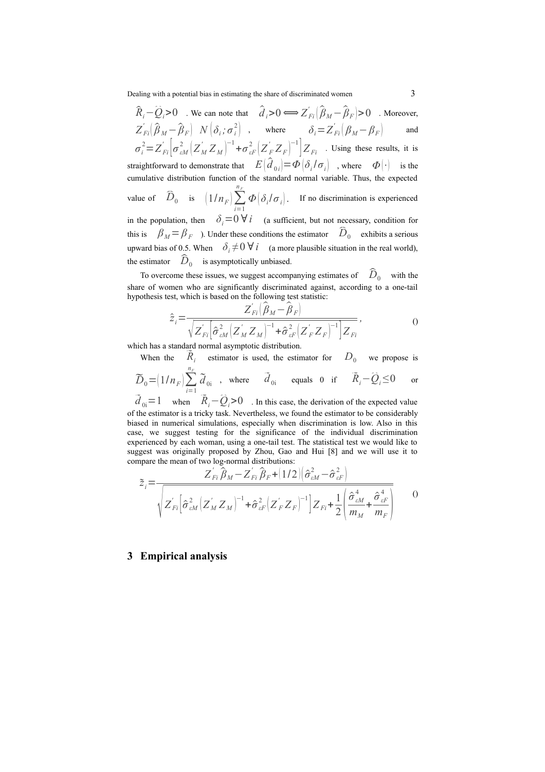Dealing with a potential bias in estimating the share of discriminated women 3

 $\hat{R}_i - \hat{Q}_i > 0$  . We can note that  $\hat{d}_i > 0 \Longleftrightarrow Z'_{Fi} (\hat{\beta}_M - \hat{\beta}_F) > 0$  . Moreover,  $Z'_{Fi}(\hat{\beta}_M - \hat{\beta}_F)$   $N(\delta_i; \sigma_i^2)$  , where  $\delta_i = Z'_{Fi}(\beta_M - \beta_F)$  and  $\sigma_i^2 = Z_{Fi}^{'}\bigg|\sigma_{eM}^2 \big(Z_M^{'}Z_M\bigg)^{-1} + \sigma_{eF}^2 \big(Z_F^{'}Z_F\bigg)^{-1}\bigg| Z_{Fi}$  . Using these results, it is straightforward to demonstrate that  $E(\hat{d}_{0i}) = \Phi(\delta_i/\sigma_i)$ , where  $\Phi(\cdot)$  is the cumulative distribution function of the standard normal variable. Thus, the expected value of  $\widehat{D}_0$  is  $\left(1/n_F\right) \sum_{i=1}^{n_F}$ *n F*  $\Phi\left[\delta_i/\sigma_i\right]$ . If no discrimination is experienced in the population, then  $\delta_i=0$   $\forall i$  (a sufficient, but not necessary, condition for in the population, then  $\partial_i = 0 \nabla \iota$  (a sufficient, but not necessary, condition for this is  $\beta_M = \beta_F$ ). Under these conditions the estimator  $\hat{D}_0$  exhibits a serious upward bias of 0.5. When  $\delta_i \neq 0 \forall i$  (a more plausible situation in the real world), upward bias of 0.5. When  $\partial_i \neq 0 \forall i$  (a more<br>the estimator  $\hat{D}_0$  is asymptotically unbiased.

estimator  $D_0$  is asymptotically unbiased.<br>To overcome these issues, we suggest accompanying estimates of  $\widehat{D}_0$  with the share of women who are significantly discriminated against, according to a one-tail hypothesis test, which is based on the following test statistic:<br> $Z_{Fi} \left( \hat{\beta}_M - \hat{\beta}_F \right)$ 

$$
\hat{z}_i = \frac{Z_{Fi} \left(\beta_M - \beta_F\right)}{\sqrt{Z_{Fi} \left[\hat{\sigma}_{eM}^2 \left(Z_M^{'} Z_M\right)^{-1} + \hat{\sigma}_{eF}^2 \left(Z_F^{'} Z_F\right)^{-1}\right] Z_{Fi}}},\tag{0}
$$

which has a standard normal asymptotic distribution.

When the estimator is used, the estimator for  $D_0$  we propose is  $n<sub>F</sub>$ 

$$
\widetilde{D}_0 = (1/n_F) \sum_{i=1}^{n_F} \widetilde{d}_{0i}
$$
, where  $\widetilde{d}_{0i}$  equals 0 if  $\widetilde{R}_i - \widehat{Q}_i \le 0$  or  $\widetilde{d}_{0i} = 1$  when  $\widetilde{R}_i - \widehat{Q}_i > 0$ . In this case, the derivation of the expected value

of the estimator is a tricky task. Nevertheless, we found the estimator to be considerably biased in numerical simulations, especially when discrimination is low. Also in this case, we suggest testing for the significance of the individual discrimination experienced by each woman, using a one-tail test. The statistical test we would like to suggest was originally proposed by Zhou, Gao and Hui [8] and we will use it to

compare the mean of two log-normal distributions:  
\n
$$
\tilde{Z}_{i} = \frac{Z_{Fi}^{'} \hat{\beta}_{M} - Z_{Fi}^{'} \hat{\beta}_{F} + (1/2) (\hat{\sigma}_{eM}^{2} - \hat{\sigma}_{eF}^{2})}{\sqrt{Z_{Fi}^{'} [\hat{\sigma}_{eM}^{2} (Z_{M}^{'} Z_{M})^{-1} + \hat{\sigma}_{eF}^{2} (Z_{F}^{'} Z_{F})^{-1}]} Z_{Fi} + \frac{1}{2} (\frac{\hat{\sigma}_{eM}^{4}}{m_{M}} + \frac{\hat{\sigma}_{eF}^{4}}{m_{F}})}
$$
0

### **3 Empirical analysis**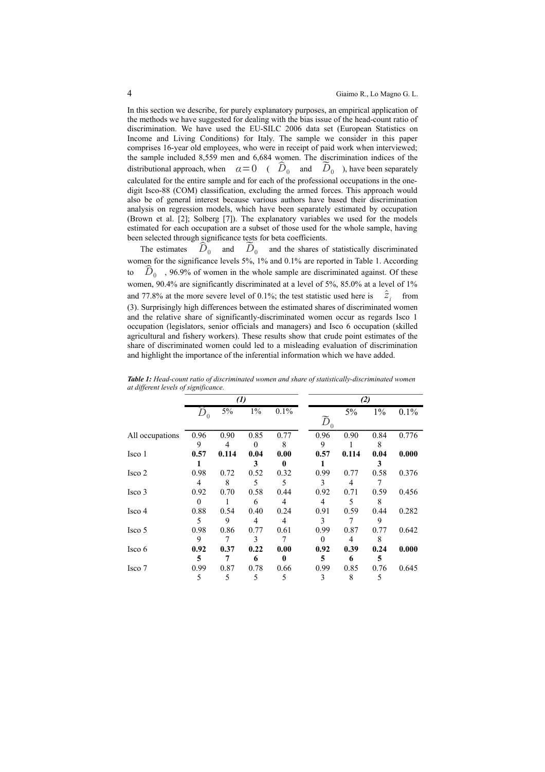In this section we describe, for purely explanatory purposes, an empirical application of the methods we have suggested for dealing with the bias issue of the head-count ratio of discrimination. We have used the EU-SILC 2006 data set (European Statistics on Income and Living Conditions) for Italy. The sample we consider in this paper comprises 16-year old employees, who were in receipt of paid work when interviewed; the sample included 8,559 men and 6,684 women. The discrimination indices of the the sample included 8,559 men and 6,684 women. The discrimination indices of the distributional approach, when  $\alpha = 0$  ( $\hat{D}_0$  and  $\tilde{D}_0$ ), have been separately calculated for the entire sample and for each of the professional occupations in the onedigit Isco-88 (COM) classification, excluding the armed forces. This approach would also be of general interest because various authors have based their discrimination analysis on regression models, which have been separately estimated by occupation (Brown et al. [2]; Solberg [7]). The explanatory variables we used for the models estimated for each occupation are a subset of those used for the whole sample, having been selected through significance tests for beta coefficients.

The estimates  $\hat{D}_0$  and  $\tilde{D}_0$  and the shares of statistically discriminated women for the significance levels 5%, 1% and 0.1% are reported in Table 1. According to  $\hat{D}_0$ , 96.9% of women in the whole sample are discriminated against. Of these  $D_0$ , 96.9% of women in the whole sample are discriminated against. Of these women, 90.4% are significantly discriminated at a level of 5%, 85.0% at a level of 1% and 77.8% at the more severe level of 0.1%; the test statistic used here is  $\hat{z}_i$  from (3). Surprisingly high differences between the estimated shares of discriminated women and the relative share of significantly-discriminated women occur as regards Isco 1 occupation (legislators, senior officials and managers) and Isco 6 occupation (skilled agricultural and fishery workers). These results show that crude point estimates of the share of discriminated women could led to a misleading evaluation of discrimination and highlight the importance of the inferential information which we have added.

|                 |          | $\left( l\right)$ |       |      |                   | (2)   |       |       |  |
|-----------------|----------|-------------------|-------|------|-------------------|-------|-------|-------|--|
|                 | $D_0$    | 5%                | $1\%$ | 0.1% |                   | 5%    | $1\%$ | 0.1%  |  |
|                 |          |                   |       |      | $\widetilde{D}_0$ |       |       |       |  |
| All occupations | 0.96     | 0.90              | 0.85  | 0.77 | 0.96              | 0.90  | 0.84  | 0.776 |  |
|                 | 9        | 4                 | 0     | 8    | 9                 |       | 8     |       |  |
| Isco 1          | 0.57     | 0.114             | 0.04  | 0.00 | 0.57              | 0.114 | 0.04  | 0.000 |  |
|                 |          |                   | 3     | 0    |                   |       | 3     |       |  |
| Isco 2          | 0.98     | 0.72              | 0.52  | 0.32 | 0.99              | 0.77  | 0.58  | 0.376 |  |
|                 | 4        | 8                 | 5     | 5    | 3                 | 4     |       |       |  |
| Isco 3          | 0.92     | 0.70              | 0.58  | 0.44 | 0.92              | 0.71  | 0.59  | 0.456 |  |
|                 | $\theta$ |                   | 6     | 4    | 4                 | 5     | 8     |       |  |
| Isco 4          | 0.88     | 0.54              | 0.40  | 0.24 | 0.91              | 0.59  | 0.44  | 0.282 |  |
|                 | 5        | 9                 | 4     | 4    | 3                 |       | 9     |       |  |
| Isco 5          | 0.98     | 0.86              | 0.77  | 0.61 | 0.99              | 0.87  | 0.77  | 0.642 |  |
|                 | 9        |                   | 3     | 7    | $\Omega$          | 4     | 8     |       |  |
| Isco 6          | 0.92     | 0.37              | 0.22  | 0.00 | 0.92              | 0.39  | 0.24  | 0.000 |  |
|                 | 5        | 7                 | 6     | 0    | 5                 | 6     | 5     |       |  |
| Isco 7          | 0.99     | 0.87              | 0.78  | 0.66 | 0.99              | 0.85  | 0.76  | 0.645 |  |
|                 | 5        | 5                 | 5     | 5    | 3                 | 8     | 5     |       |  |

*Table 1: Head-count ratio of discriminated women and share of statistically-discriminated women at different levels of significance.*